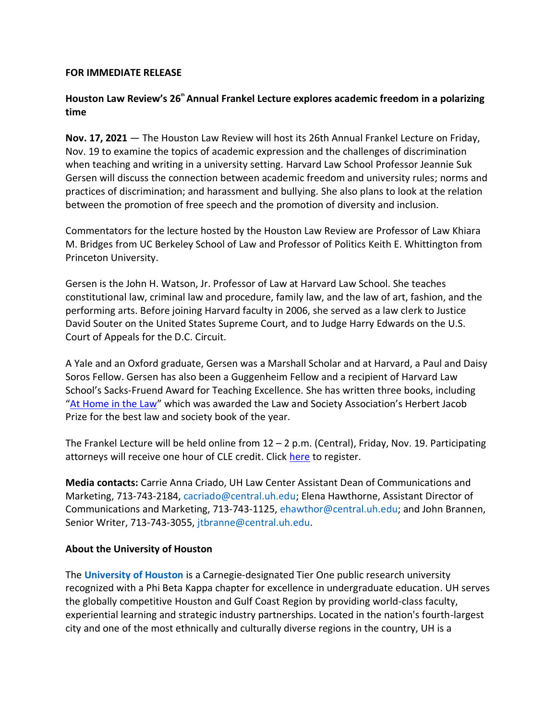#### **FOR IMMEDIATE RELEASE**

# **Houston Law Review's 26 thAnnual Frankel Lecture explores academic freedom in a polarizing time**

**Nov. 17, 2021** — The Houston Law Review will host its 26th Annual Frankel Lecture on Friday, Nov. 19 to examine the topics of academic expression and the challenges of discrimination when teaching and writing in a university setting. Harvard Law School Professor Jeannie Suk Gersen will discuss the connection between academic freedom and university rules; norms and practices of discrimination; and harassment and bullying. She also plans to look at the relation between the promotion of free speech and the promotion of diversity and inclusion.

Commentators for the lecture hosted by the Houston Law Review are Professor of Law Khiara M. Bridges from UC Berkeley School of Law and Professor of Politics Keith E. Whittington from Princeton University.

Gersen is the John H. Watson, Jr. Professor of Law at Harvard Law School. She teaches constitutional law, criminal law and procedure, family law, and the law of art, fashion, and the performing arts. Before joining Harvard faculty in 2006, she served as a law clerk to Justice David Souter on the United States Supreme Court, and to Judge Harry Edwards on the U.S. Court of Appeals for the D.C. Circuit.

A Yale and an Oxford graduate, Gersen was a Marshall Scholar and at Harvard, a Paul and Daisy Soros Fellow. Gersen has also been a Guggenheim Fellow and a recipient of Harvard Law School's Sacks-Fruend Award for Teaching Excellence. She has written three books, including "[At Home in the Law](https://www.amazon.com/At-Home-Law-Revolution-Transforming/dp/0300172621?ie=UTF8&*Version*=1&*entries*=0)" which was awarded the Law and Society Association's Herbert Jacob Prize for the best law and society book of the year.

The Frankel Lecture will be held online from  $12 - 2$  p.m. (Central), Friday, Nov. 19. Participating attorneys will receive one hour of CLE credit. Click [here](https://zoom.us/webinar/register/WN_E68sx1koSzm28ybQ25yoAQ) to register.

**Media contacts:** Carrie Anna Criado, UH Law Center Assistant Dean of Communications and Marketing, 713-743-2184, cacriado@central.uh.edu; Elena Hawthorne, Assistant Director of Communications and Marketing, 713-743-1125, ehawthor@central.uh.edu; and John Brannen, Senior Writer, 713-743-3055, jtbranne@central.uh.edu.

### **About the University of Houston**

The **University of Houston** is a Carnegie-designated Tier One public research university recognized with a Phi Beta Kappa chapter for excellence in undergraduate education. UH serves the globally competitive Houston and Gulf Coast Region by providing world-class faculty, experiential learning and strategic industry partnerships. Located in the nation's fourth-largest city and one of the most ethnically and culturally diverse regions in the country, UH is a